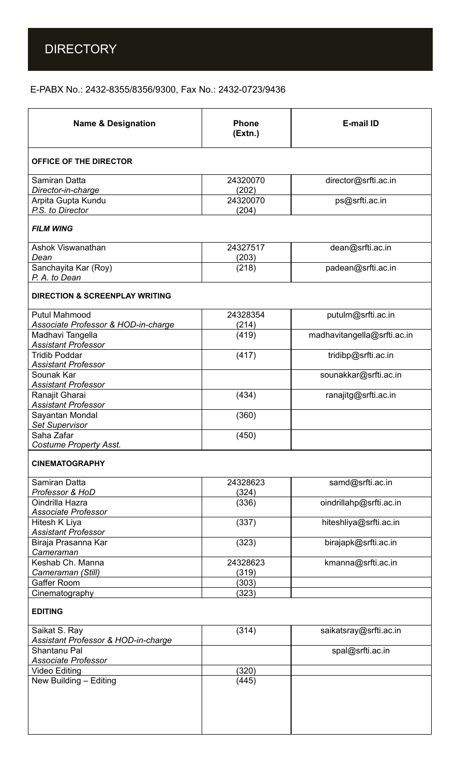## E-PABX No.: 2432-8355/8356/9300, Fax No.: 2432-0723/9436

| <b>Name &amp; Designation</b>                               | <b>Phone</b><br>(Extn.) | <b>E-mail ID</b>            |
|-------------------------------------------------------------|-------------------------|-----------------------------|
| <b>OFFICE OF THE DIRECTOR</b>                               |                         |                             |
| Samiran Datta<br>Director-in-charge                         | 24320070<br>(202)       | director@srfti.ac.in        |
| Arpita Gupta Kundu<br>P.S. to Director                      | 24320070<br>(204)       | ps@srfti.ac.in              |
| <b>FILM WING</b>                                            |                         |                             |
| <b>Ashok Viswanathan</b><br>Dean                            | 24327517<br>(203)       | dean@srfti.ac.in            |
| Sanchayita Kar (Roy)<br>P. A. to Dean                       | (218)                   | padean@srfti.ac.in          |
| <b>DIRECTION &amp; SCREENPLAY WRITING</b>                   |                         |                             |
| <b>Putul Mahmood</b><br>Associate Professor & HOD-in-charge | 24328354<br>(214)       | putulm@srfti.ac.in          |
| Madhavi Tangella<br><b>Assistant Professor</b>              | (419)                   | madhavitangella@srfti.ac.in |
| <b>Tridib Poddar</b><br><b>Assistant Professor</b>          | (417)                   | tridibp@srfti.ac.in         |
| Sounak Kar<br><b>Assistant Professor</b>                    |                         | sounakkar@srfti.ac.in       |
| Ranajit Gharai<br><b>Assistant Professor</b>                | (434)                   | ranajitg@srfti.ac.in        |
| Sayantan Mondal<br>Set Supervisor                           | (360)                   |                             |
| Saha Zafar<br><b>Costume Property Asst.</b>                 | (450)                   |                             |
| <b>CINEMATOGRAPHY</b>                                       |                         |                             |
| Samiran Datta<br>Professor & HoD                            | 24328623<br>(324)       | samd@srfti.ac.in            |
| Oindrilla Hazra<br><b>Associate Professor</b>               | (336)                   | oindrillahp@srfti.ac.in     |
| Hitesh K Liya<br><b>Assistant Professor</b>                 | (337)                   | hiteshliya@srfti.ac.in      |
| Biraja Prasanna Kar<br>Cameraman                            | (323)                   | birajapk@srfti.ac.in        |
| Keshab Ch. Manna<br>Cameraman (Still)                       | 24328623<br>(319)       | kmanna@srfti.ac.in          |
| Gaffer Room                                                 | (303)                   |                             |
| Cinematography                                              | (323)                   |                             |
| <b>EDITING</b>                                              |                         |                             |
| Saikat S. Ray<br>Assistant Professor & HOD-in-charge        | (314)                   | saikatsray@srfti.ac.in      |
| Shantanu Pal<br>Associate Professor                         |                         | spal@srfti.ac.in            |
| <b>Video Editing</b>                                        | (320)                   |                             |
| New Building - Editing                                      | (445)                   |                             |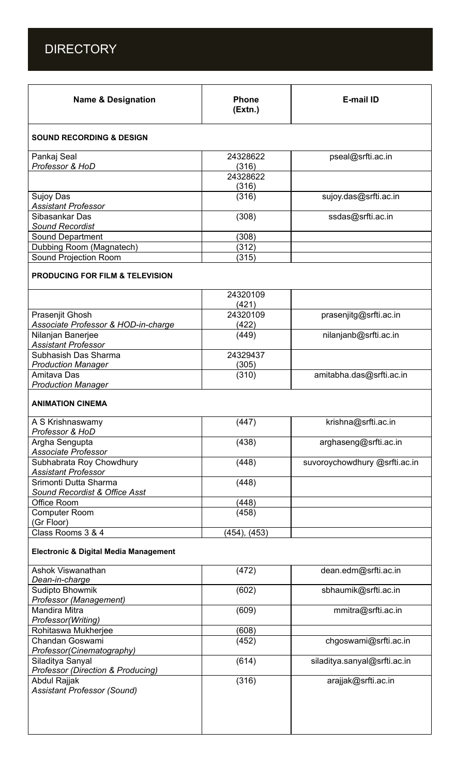

| <b>Name &amp; Designation</b>                          | <b>Phone</b><br>(Extn.) | E-mail ID                     |
|--------------------------------------------------------|-------------------------|-------------------------------|
| <b>SOUND RECORDING &amp; DESIGN</b>                    |                         |                               |
| Pankaj Seal                                            | 24328622                | pseal@srfti.ac.in             |
| Professor & HoD                                        | (316)                   |                               |
|                                                        | 24328622                |                               |
|                                                        | (316)                   |                               |
| <b>Sujoy Das</b>                                       | (316)                   | sujoy.das@srfti.ac.in         |
| <b>Assistant Professor</b><br>Sibasankar Das           |                         |                               |
| <b>Sound Recordist</b>                                 | (308)                   | ssdas@srfti.ac.in             |
| Sound Department                                       | (308)                   |                               |
| Dubbing Room (Magnatech)                               | (312)                   |                               |
| Sound Projection Room                                  | (315)                   |                               |
| <b>PRODUCING FOR FILM &amp; TELEVISION</b>             |                         |                               |
|                                                        | 24320109<br>(421)       |                               |
| Prasenjit Ghosh                                        | 24320109                | prasenjitg@srfti.ac.in        |
| Associate Professor & HOD-in-charge                    | (422)                   |                               |
| Nilanjan Banerjee<br><b>Assistant Professor</b>        | (449)                   | nilanjanb@srfti.ac.in         |
| Subhasish Das Sharma                                   | 24329437                |                               |
| <b>Production Manager</b>                              | (305)                   |                               |
| Amitava Das<br><b>Production Manager</b>               | (310)                   | amitabha.das@srfti.ac.in      |
| <b>ANIMATION CINEMA</b>                                |                         |                               |
| A S Krishnaswamy<br>Professor & HoD                    | (447)                   | krishna@srfti.ac.in           |
| Argha Sengupta<br>Associate Professor                  | (438)                   | arghaseng@srfti.ac.in         |
| Subhabrata Roy Chowdhury<br><b>Assistant Professor</b> | (448)                   | suvoroychowdhury @srfti.ac.in |
| Srimonti Dutta Sharma<br>Sound Recordist & Office Asst | (448)                   |                               |
| <b>Office Room</b>                                     | (448)                   |                               |
| <b>Computer Room</b>                                   | (458)                   |                               |
| (Gr Floor)                                             |                         |                               |
| Class Rooms 3 & 4                                      | (454), (453)            |                               |
| <b>Electronic &amp; Digital Media Management</b>       |                         |                               |
| <b>Ashok Viswanathan</b><br>Dean-in-charge             | (472)                   | dean.edm@srfti.ac.in          |
| Sudipto Bhowmik<br>Professor (Management)              | (602)                   | sbhaumik@srfti.ac.in          |
| <b>Mandira Mitra</b><br>Professor(Writing)             | (609)                   | mmitra@srfti.ac.in            |
| Rohitaswa Mukherjee                                    | (608)                   |                               |
| Chandan Goswami<br>Professor(Cinematography)           | (452)                   | chgoswami@srfti.ac.in         |
| Siladitya Sanyal<br>Professor (Direction & Producing)  | (614)                   | siladitya.sanyal@srfti.ac.in  |
| Abdul Rajjak<br><b>Assistant Professor (Sound)</b>     | (316)                   | arajjak@srfti.ac.in           |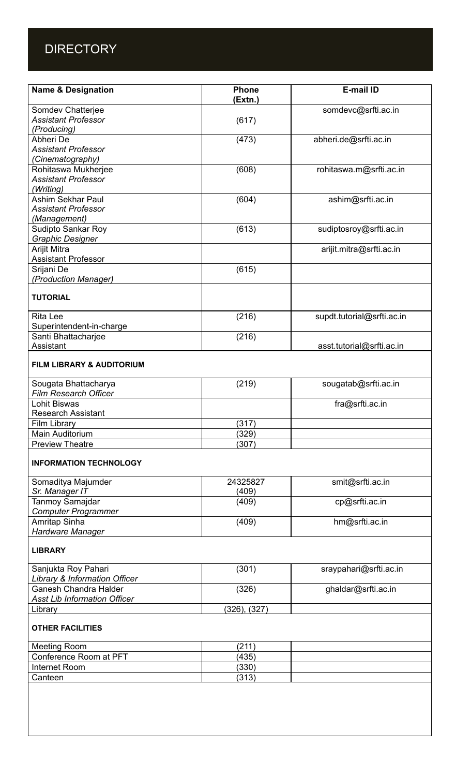## **DIRECTORY**

| <b>Name &amp; Designation</b>        | <b>Phone</b><br>(Extn.) | E-mail ID                  |
|--------------------------------------|-------------------------|----------------------------|
| Somdev Chatterjee                    |                         | somdevc@srfti.ac.in        |
| <b>Assistant Professor</b>           | (617)                   |                            |
| (Producing)                          |                         |                            |
| Abheri De                            | (473)                   | abheri.de@srfti.ac.in      |
| <b>Assistant Professor</b>           |                         |                            |
| (Cinematography)                     |                         |                            |
| Rohitaswa Mukherjee                  | (608)                   | rohitaswa.m@srfti.ac.in    |
| <b>Assistant Professor</b>           |                         |                            |
| (Writing)                            |                         |                            |
| <b>Ashim Sekhar Paul</b>             | (604)                   | ashim@srfti.ac.in          |
| <b>Assistant Professor</b>           |                         |                            |
| (Management)                         |                         |                            |
| Sudipto Sankar Roy                   | (613)                   | sudiptosroy@srfti.ac.in    |
| <b>Graphic Designer</b>              |                         |                            |
| Arijit Mitra                         |                         | arijit.mitra@srfti.ac.in   |
| <b>Assistant Professor</b>           |                         |                            |
| Srijani De                           | (615)                   |                            |
| (Production Manager)                 |                         |                            |
|                                      |                         |                            |
| <b>TUTORIAL</b>                      |                         |                            |
|                                      |                         |                            |
| <b>Rita Lee</b>                      | (216)                   | supdt.tutorial@srfti.ac.in |
| Superintendent-in-charge             |                         |                            |
| Santi Bhattacharjee                  | (216)                   |                            |
| Assistant                            |                         | asst.tutorial@srfti.ac.in  |
| <b>FILM LIBRARY &amp; AUDITORIUM</b> |                         |                            |
| Sougata Bhattacharya                 | (219)                   | sougatab@srfti.ac.in       |
| <b>Film Research Officer</b>         |                         |                            |
| <b>Lohit Biswas</b>                  |                         | fra@srfti.ac.in            |
| <b>Research Assistant</b>            |                         |                            |
| <b>Film Library</b>                  | (317)                   |                            |
| Main Auditorium                      | (329)                   |                            |
| <b>Preview Theatre</b>               | (307)                   |                            |
| <b>INFORMATION TECHNOLOGY</b>        |                         |                            |
| Somaditya Majumder                   | 24325827                | smit@srfti.ac.in           |
| Sr. Manager IT                       | (409)                   |                            |
| <b>Tanmoy Samajdar</b>               | (409)                   | cp@srfti.ac.in             |
| <b>Computer Programmer</b>           |                         |                            |
| Amritap Sinha                        | (409)                   | hm@srfti.ac.in             |
| Hardware Manager                     |                         |                            |
| <b>LIBRARY</b>                       |                         |                            |
| Sanjukta Roy Pahari                  | (301)                   | sraypahari@srfti.ac.in     |
| Library & Information Officer        |                         |                            |
| <b>Ganesh Chandra Halder</b>         | (326)                   | ghaldar@srfti.ac.in        |
| <b>Asst Lib Information Officer</b>  |                         |                            |
| Library                              | (326), (327)            |                            |
| <b>OTHER FACILITIES</b>              |                         |                            |
| <b>Meeting Room</b>                  | (211)                   |                            |
| Conference Room at PFT               | (435)                   |                            |
| Internet Room                        | (330)                   |                            |
| Canteen                              | (313)                   |                            |
|                                      |                         |                            |
|                                      |                         |                            |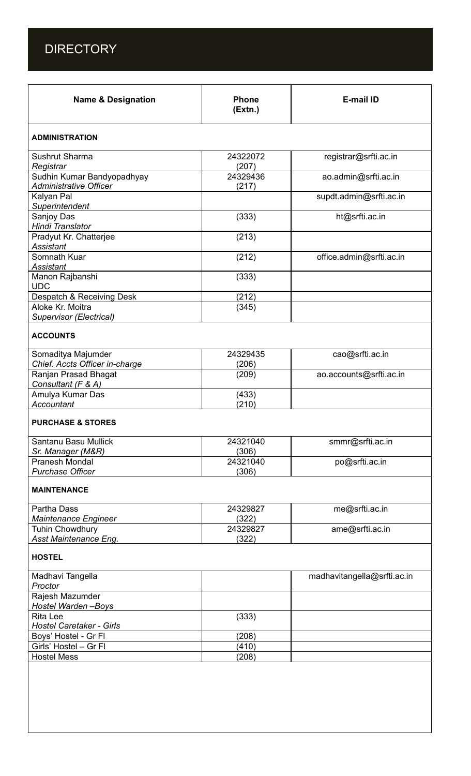

| <b>Name &amp; Designation</b>                               | <b>Phone</b><br>(Extn.) | <b>E-mail ID</b>            |  |  |
|-------------------------------------------------------------|-------------------------|-----------------------------|--|--|
| <b>ADMINISTRATION</b>                                       |                         |                             |  |  |
| <b>Sushrut Sharma</b><br>Registrar                          | 24322072<br>(207)       | registrar@srfti.ac.in       |  |  |
| Sudhin Kumar Bandyopadhyay<br><b>Administrative Officer</b> | 24329436<br>(217)       | ao.admin@srfti.ac.in        |  |  |
| Kalyan Pal<br>Superintendent                                |                         | supdt.admin@srfti.ac.in     |  |  |
| Sanjoy Das<br>Hindi Translator                              | (333)                   | ht@srfti.ac.in              |  |  |
| Pradyut Kr. Chatterjee<br>Assistant                         | (213)                   |                             |  |  |
| Somnath Kuar<br>Assistant                                   | (212)                   | office.admin@srfti.ac.in    |  |  |
| Manon Rajbanshi<br><b>UDC</b>                               | (333)                   |                             |  |  |
| Despatch & Receiving Desk                                   | (212)                   |                             |  |  |
| Aloke Kr. Moitra<br>Supervisor (Electrical)                 | (345)                   |                             |  |  |
| <b>ACCOUNTS</b>                                             |                         |                             |  |  |
| Somaditya Majumder<br>Chief. Accts Officer in-charge        | 24329435<br>(206)       | cao@srfti.ac.in             |  |  |
| Ranjan Prasad Bhagat<br>Consultant (F & A)                  | (209)                   | ao.accounts@srfti.ac.in     |  |  |
| Amulya Kumar Das<br>Accountant                              | (433)<br>(210)          |                             |  |  |
| <b>PURCHASE &amp; STORES</b>                                |                         |                             |  |  |
| Santanu Basu Mullick<br>Sr. Manager (M&R)                   | 24321040<br>(306)       | smmr@srfti.ac.in            |  |  |
| Pranesh Mondal<br><b>Purchase Officer</b>                   | 24321040<br>(306)       | po@srfti.ac.in              |  |  |
| <b>MAINTENANCE</b>                                          |                         |                             |  |  |
| <b>Partha Dass</b><br><b>Maintenance Engineer</b>           | 24329827<br>(322)       | me@srfti.ac.in              |  |  |
| <b>Tuhin Chowdhury</b><br>Asst Maintenance Eng.             | 24329827<br>(322)       | ame@srfti.ac.in             |  |  |
| <b>HOSTEL</b>                                               |                         |                             |  |  |
| Madhavi Tangella<br>Proctor                                 |                         | madhavitangella@srfti.ac.in |  |  |
| Rajesh Mazumder<br>Hostel Warden-Boys                       |                         |                             |  |  |
| <b>Rita Lee</b><br>Hostel Caretaker - Girls                 | (333)                   |                             |  |  |
| Boys' Hostel - Gr Fl                                        | (208)                   |                             |  |  |
| Girls' Hostel - Gr Fl<br><b>Hostel Mess</b>                 | (410)<br>(208)          |                             |  |  |
|                                                             |                         |                             |  |  |